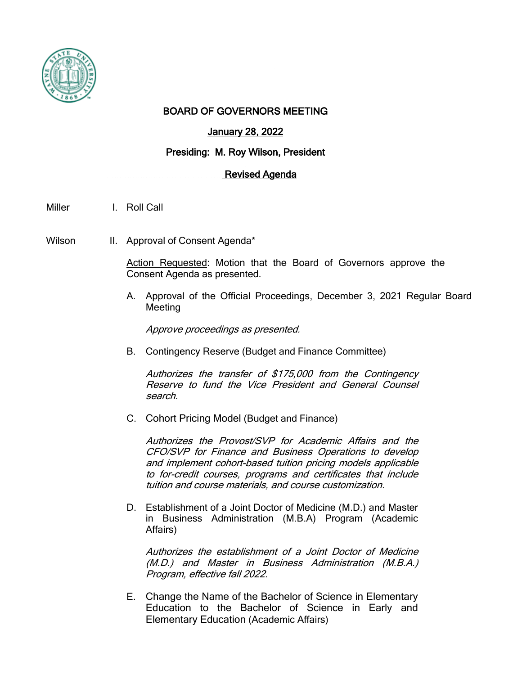

## BOARD OF GOVERNORS MEETING

# January 28, 2022

#### Presiding: M. Roy Wilson, President

#### Revised Agenda

Miller I. Roll Call

Wilson II. Approval of Consent Agenda\*

Action Requested: Motion that the Board of Governors approve the Consent Agenda as presented.

A. Approval of the Official Proceedings, December 3, 2021 Regular Board Meeting

Approve proceedings as presented.

B. Contingency Reserve (Budget and Finance Committee)

Authorizes the transfer of \$175,000 from the Contingency Reserve to fund the Vice President and General Counsel search.

C. Cohort Pricing Model (Budget and Finance)

Authorizes the Provost/SVP for Academic Affairs and the CFO/SVP for Finance and Business Operations to develop and implement cohort-based tuition pricing models applicable to for-credit courses, programs and certificates that include tuition and course materials, and course customization.

D. Establishment of a Joint Doctor of Medicine (M.D.) and Master in Business Administration (M.B.A) Program (Academic Affairs)

Authorizes the establishment of a Joint Doctor of Medicine (M.D.) and Master in Business Administration (M.B.A.) Program, effective fall 2022.

E. Change the Name of the Bachelor of Science in Elementary Education to the Bachelor of Science in Early and Elementary Education (Academic Affairs)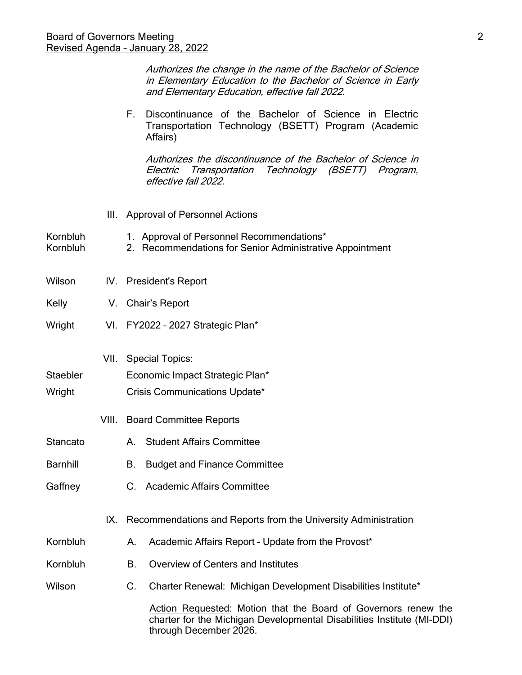Authorizes the change in the name of the Bachelor of Science in Elementary Education to the Bachelor of Science in Early and Elementary Education, effective fall 2022.

F. Discontinuance of the Bachelor of Science in Electric Transportation Technology (BSETT) Program (Academic Affairs)

Authorizes the discontinuance of the Bachelor of Science in Electric Transportation Technology (BSETT) Program, effective fall 2022.

- III. Approval of Personnel Actions
- Kornbluh 1. Approval of Personnel Recommendations\*
- Kornbluh 2. Recommendations for Senior Administrative Appointment
- Wilson IV. President's Report
- Kelly V. Chair's Report
- Wright VI. FY2022 2027 Strategic Plan\*
	- VII. Special Topics:
- Staebler **Economic Impact Strategic Plan\***
- Wright Crisis Communications Update\*
	- VIII. Board Committee Reports
- Stancato **A.** Student Affairs Committee
- Barnhill B. Budget and Finance Committee
- Gaffney C. Academic Affairs Committee
	- IX. Recommendations and Reports from the University Administration
- Kornbluh A. Academic Affairs Report Update from the Provost\*
- Kornbluh B. Overview of Centers and Institutes
- Wilson C. Charter Renewal: Michigan Development Disabilities Institute\*

Action Requested: Motion that the Board of Governors renew the charter for the Michigan Developmental Disabilities Institute (MI-DDI) through December 2026.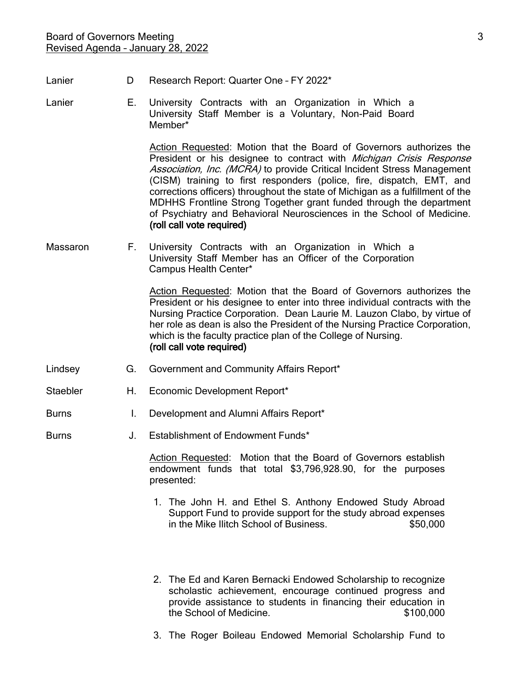- Lanier **D** Research Report: Quarter One FY 2022<sup>\*</sup>
- 
- 
- Lanier E. University Contracts with an Organization in Which a University Staff Member is a Voluntary, Non-Paid Board Member\*

Action Requested: Motion that the Board of Governors authorizes the President or his designee to contract with *Michigan Crisis Response* Association, Inc. (MCRA) to provide Critical Incident Stress Management (CISM) training to first responders (police, fire, dispatch, EMT, and corrections officers) throughout the state of Michigan as a fulfillment of the MDHHS Frontline Strong Together grant funded through the department of Psychiatry and Behavioral Neurosciences in the School of Medicine. (roll call vote required)

Massaron F. University Contracts with an Organization in Which a University Staff Member has an Officer of the Corporation Campus Health Center\*

> Action Requested: Motion that the Board of Governors authorizes the President or his designee to enter into three individual contracts with the Nursing Practice Corporation. Dean Laurie M. Lauzon Clabo, by virtue of her role as dean is also the President of the Nursing Practice Corporation, which is the faculty practice plan of the College of Nursing. (roll call vote required)

- Lindsey **G.** Government and Community Affairs Report\*
- Staebler H. Economic Development Report\*
- Burns I. Development and Alumni Affairs Report\*
- Burns J. Establishment of Endowment Funds\*

Action Requested: Motion that the Board of Governors establish endowment funds that total \$3,796,928.90, for the purposes presented:

- 1. The John H. and Ethel S. Anthony Endowed Study Abroad Support Fund to provide support for the study abroad expenses in the Mike Ilitch School of Business. \$50,000
- 2. The Ed and Karen Bernacki Endowed Scholarship to recognize scholastic achievement, encourage continued progress and provide assistance to students in financing their education in the School of Medicine.  $$100,000$
- 3. The Roger Boileau Endowed Memorial Scholarship Fund to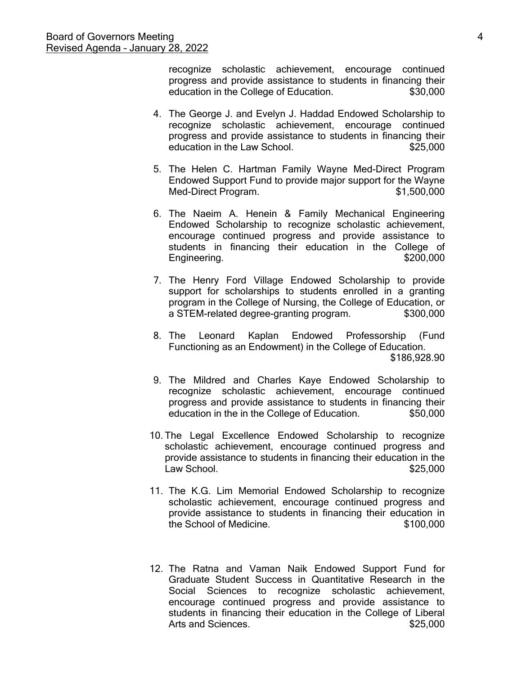recognize scholastic achievement, encourage continued progress and provide assistance to students in financing their education in the College of Education.  $$30,000$ 

- 4. The George J. and Evelyn J. Haddad Endowed Scholarship to recognize scholastic achievement, encourage continued progress and provide assistance to students in financing their education in the Law School.  $$25.000$
- 5. The Helen C. Hartman Family Wayne Med-Direct Program Endowed Support Fund to provide major support for the Wayne Med-Direct Program.  $$1,500,000$
- 6. The Naeim A. Henein & Family Mechanical Engineering Endowed Scholarship to recognize scholastic achievement, encourage continued progress and provide assistance to students in financing their education in the College of Engineering. \$200,000
- 7. The Henry Ford Village Endowed Scholarship to provide support for scholarships to students enrolled in a granting program in the College of Nursing, the College of Education, or a STEM-related degree-granting program.  $$300,000$
- 8. The Leonard Kaplan Endowed Professorship (Fund Functioning as an Endowment) in the College of Education. \$186,928.90
- 9. The Mildred and Charles Kaye Endowed Scholarship to recognize scholastic achievement, encourage continued progress and provide assistance to students in financing their education in the in the College of Education.  $$50,000$
- 10. The Legal Excellence Endowed Scholarship to recognize scholastic achievement, encourage continued progress and provide assistance to students in financing their education in the Law School. 625,000
- 11. The K.G. Lim Memorial Endowed Scholarship to recognize scholastic achievement, encourage continued progress and provide assistance to students in financing their education in the School of Medicine.  $$100.000$
- 12. The Ratna and Vaman Naik Endowed Support Fund for Graduate Student Success in Quantitative Research in the Social Sciences to recognize scholastic achievement, encourage continued progress and provide assistance to students in financing their education in the College of Liberal Arts and Sciences.  $$25,000$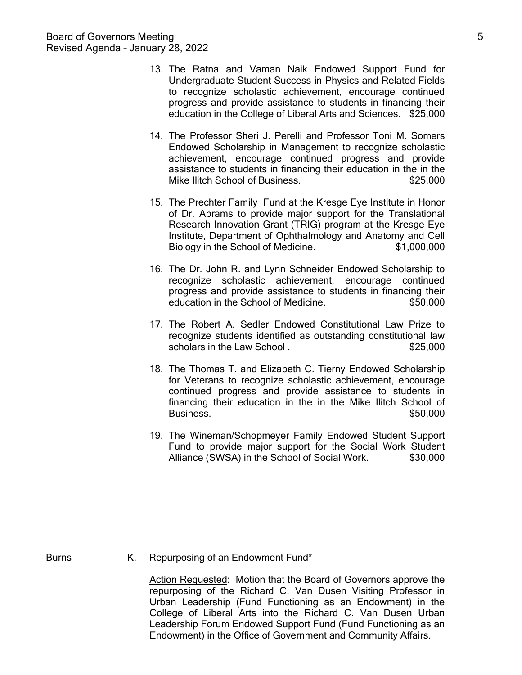- 13. The Ratna and Vaman Naik Endowed Support Fund for Undergraduate Student Success in Physics and Related Fields to recognize scholastic achievement, encourage continued progress and provide assistance to students in financing their education in the College of Liberal Arts and Sciences. \$25,000
- 14. The Professor Sheri J. Perelli and Professor Toni M. Somers Endowed Scholarship in Management to recognize scholastic achievement, encourage continued progress and provide assistance to students in financing their education in the in the Mike Ilitch School of Business.  $$25,000$
- 15. The Prechter Family Fund at the Kresge Eye Institute in Honor of Dr. Abrams to provide major support for the Translational Research Innovation Grant (TRIG) program at the Kresge Eye Institute, Department of Ophthalmology and Anatomy and Cell Biology in the School of Medicine.  $$1,000,000$
- 16. The Dr. John R. and Lynn Schneider Endowed Scholarship to recognize scholastic achievement, encourage continued progress and provide assistance to students in financing their education in the School of Medicine.  $$50,000$
- 17. The Robert A. Sedler Endowed Constitutional Law Prize to recognize students identified as outstanding constitutional law scholars in the Law School .  $$25,000$
- 18. The Thomas T. and Elizabeth C. Tierny Endowed Scholarship for Veterans to recognize scholastic achievement, encourage continued progress and provide assistance to students in financing their education in the in the Mike Ilitch School of Business.  $\sim$  \$50.000
- 19. The Wineman/Schopmeyer Family Endowed Student Support Fund to provide major support for the Social Work Student Alliance (SWSA) in the School of Social Work.  $$30,000$

Burns K. Repurposing of an Endowment Fund\*

Action Requested: Motion that the Board of Governors approve the repurposing of the Richard C. Van Dusen Visiting Professor in Urban Leadership (Fund Functioning as an Endowment) in the College of Liberal Arts into the Richard C. Van Dusen Urban Leadership Forum Endowed Support Fund (Fund Functioning as an Endowment) in the Office of Government and Community Affairs.